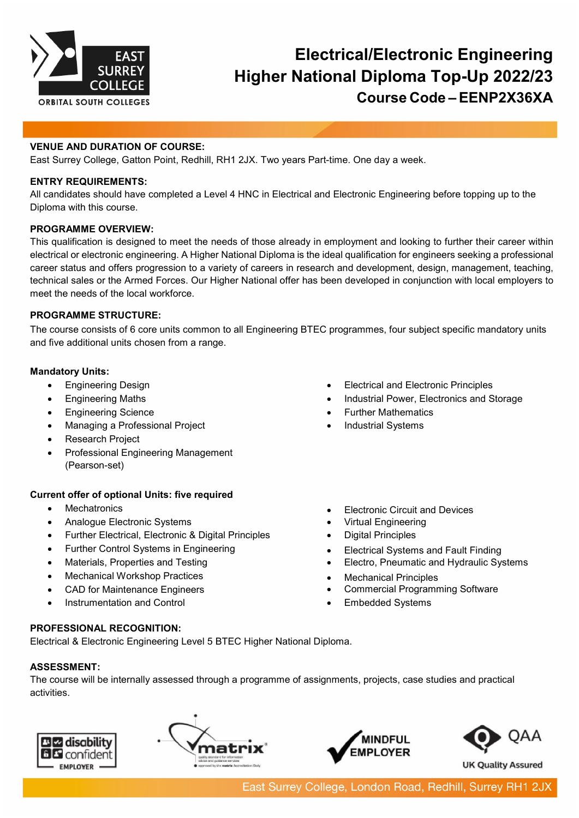

# **Electrical/Electronic Engineering Higher National Diploma Top-Up 2022/23 Course Code – EENP2X36XA**

## **VENUE AND DURATION OF COURSE:**

East Surrey College, Gatton Point, Redhill, RH1 2JX. Two years Part-time. One day a week.

#### **ENTRY REQUIREMENTS:**

All candidates should have completed a Level 4 HNC in Electrical and Electronic Engineering before topping up to the Diploma with this course.

#### **PROGRAMME OVERVIEW:**

This qualification is designed to meet the needs of those already in employment and looking to further their career within electrical or electronic engineering. A Higher National Diploma is the ideal qualification for engineers seeking a professional career status and offers progression to a variety of careers in research and development, design, management, teaching, technical sales or the Armed Forces. Our Higher National offer has been developed in conjunction with local employers to meet the needs of the local workforce.

# **PROGRAMME STRUCTURE:**

The course consists of 6 core units common to all Engineering BTEC programmes, four subject specific mandatory units and five additional units chosen from a range.

# **Mandatory Units:**

- Engineering Design
- Engineering Maths
- Engineering Science
- Managing a Professional Project
- **Research Project**
- Professional Engineering Management (Pearson-set)

### **Current offer of optional Units: five required**

- Mechatronics
- Analogue Electronic Systems
- Further Electrical, Electronic & Digital Principles
- Further Control Systems in Engineering
- Materials, Properties and Testing
- **Mechanical Workshop Practices**
- CAD for Maintenance Engineers
- Instrumentation and Control

# **PROFESSIONAL RECOGNITION:**

Electrical & Electronic Engineering Level 5 BTEC Higher National Diploma.

# **ASSESSMENT:**

The course will be internally assessed through a programme of assignments, projects, case studies and practical activities.









- Electrical and Electronic Principles
- Industrial Power, Electronics and Storage
- Further Mathematics
- Industrial Systems
- **Electronic Circuit and Devices**
- Virtual Engineering
- Digital Principles
- Electrical Systems and Fault Finding
- Electro, Pneumatic and Hydraulic Systems
- Mechanical Principles
- Commercial Programming Software
- Embedded Systems